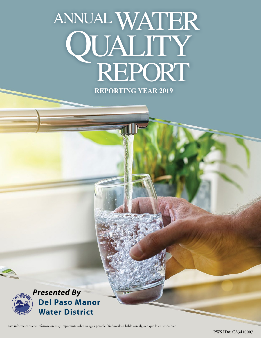# **REPORTING YEAR 2019** ANNUAL WATER QUALITY<br>REPORT



Este informe contiene información muy importante sobre su agua potable. Tradúzcalo o hable con alguien que lo entienda bien.

**PWS ID#: CA3410007**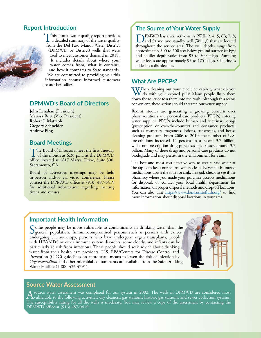#### **Report Introduction**



This annual water quality report provides a detailed summary of the water quality from the Del Paso Manor Water District (DPMWD or District) wells that were used to meet customer demand in 2019. It includes details about where your water comes from, what it contains, and how it compares to State standards. We are committed to providing you this information because informed customers are our best allies.

## **DPMWD's Board of Directors**

**John Lenahan** (President) **Marissa Burt** (Vice President) **Robert J. Matteoli Gregory Schneider Andrew Ping**

### **Board Meetings**

The Board of Directors meet the first Tuesday<br>of the month at 6:30 p.m. at the DPMWD office, located at 1817 Maryal Drive, Suite 300, Sacramento, CA.

Board of Directors meetings may be held in-person and/or via video conference. Please contact the DPMWD office at (916) 487-0419 for additional information regarding meeting times and venues.

#### **The Source of Your Water Supply**

DPMWD has seven active wells (Wells 2, 4, 5, 6B, 7, 8, and 9) and one standby well (Well 3) that are located throughout the service area. The well depths range from approximately 300 to 500 feet below ground surface (ft-bgs) and aquifer depth varies from 95 to 500 ft-bgs. Pumping water levels are approximately 95 to 125 ft-bgs. Chlorine is added as a disinfectant.

#### **What Are PPCPs?**

W/hen cleaning out your medicine cabinet, what do you do with your expired pills? Many people flush them down the toilet or toss them into the trash. Although this seems convenient, these actions could threaten our water supply.

Recent studies are generating a growing concern over pharmaceuticals and personal care products (PPCPs) entering water supplies. PPCPs include human and veterinary drugs (prescription or over-the-counter) and consumer products, such as cosmetics, fragrances, lotions, sunscreens, and house cleaning products. From 2006 to 2010, the number of U.S. prescriptions increased 12 percent to a record 3.7 billion, while nonprescription drug purchases held steady around 3.3 billion. Many of these drugs and personal care products do not biodegrade and may persist in the environment for years.

The best and most cost-effective way to ensure safe water at the tap is to keep our source waters clean. Never flush unused medications down the toilet or sink. Instead, check to see if the pharmacy where you made your purchase accepts medications for disposal, or contact your local health department for information on proper disposal methods and drop-off locations. You can also visit <https://www.dontrushtoflush.org/> to find more information about disposal locations in your area.

# **Important Health Information**

Some people may be more vulnerable to contaminants in drinking water than the general population. Immunocompromised persons such as persons with cancer undergoing chemotherapy, persons who have undergone organ transplants, people with HIV/AIDS or other immune system disorders, some elderly, and infants can be particularly at risk from infections. These people should seek advice about drinking water from their health care providers. U.S. EPA/Centers for Disease Control and Prevention (CDC) guidelines on appropriate means to lessen the risk of infection by *Cryptosporidium* and other microbial contaminants are available from the Safe Drinking Water Hotline (1-800-426-4791).



#### **Source Water Assessment**

A source water assessment was completed for our system in 2002. The wells in DPMWD are considered most evaluated most stations, and sewer collection systems.<br>The concernitative series for all the collections of the concer The susceptibility rating for all the wells is moderate. You may review a copy of the assessment by contacting the DPMWD office at (916) 487-0419.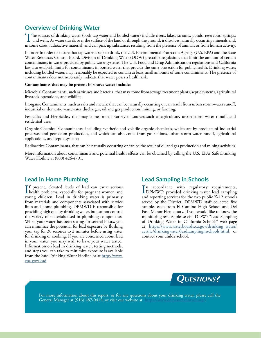# **Overview of Drinking Water**

The sources of drinking water (both tap water and bottled water) include rivers, lakes, streams, ponds, reservoirs, springs, and wells. As water travels over the surface of the land or through the ground, it dissolves naturally occurring minerals and, in some cases, radioactive material, and can pick up substances resulting from the presence of animals or from human activity.

In order In order to ensure that tap water is safe to drink, the U.S. Environmental Protection Agency (U.S. EPA) and the State Water Resources Control Board, Division of Drinking Water (DDW) prescribe regulations that limit the amount of certain contaminants in water provided by public water systems. The U.S. Food and Drug Administration regulations and California law also establish limits for contaminants in bottled water that provide the same protection for public health. Drinking water, including bottled water, may reasonably be expected to contain at least small amounts of some contaminants. The presence of contaminants does not necessarily indicate that water poses a health risk.

#### **Contaminants that may be present in source water include:**

Microbial Contaminants, such as viruses and bacteria, that may come from sewage treatment plants, septic systems, agricultural livestock operations, and wildlife;

Inorganic Contaminants, such as salts and metals, that can be naturally occurring or can result from urban storm-water runoff, industrial or domestic wastewater discharges, oil and gas production, mining, or farming;

Pesticides and Herbicides, that may come from a variety of sources such as agriculture, urban storm-water runoff, and residential uses;

Organic Chemical Contaminants, including synthetic and volatile organic chemicals, which are by-products of industrial processes and petroleum production, and which can also come from gas stations, urban storm-water runoff, agricultural applications, and septic systems;

Radioactive Contaminants, that can be naturally occurring or can be the result of oil and gas production and mining activities.

More information about contaminants and potential health effects can be obtained by calling the U.S. EPA's Safe Drinking Water Hotline at (800) 426-4791.

#### **Lead in Home Plumbing**

If present, elevated levels of lead can cause serious<br>health problems, especially for pregnant women and health problems, especially for pregnant women and young children. Lead in drinking water is primarily from materials and components associated with service lines and home plumbing. DPMWD is responsible for providing high quality drinking water, but cannot control the variety of materials used in plumbing components. When your water has been sitting for several hours, you can minimize the potential for lead exposure by flushing your tap for 30 seconds to 2 minutes before using water for drinking or cooking. If you are concerned about lead in your water, you may wish to have your water tested. Information on lead in drinking water, testing methods, and steps you can take to minimize exposure is available from the Safe Drinking Water Hotline or at [http://www.](http://www.epa.gov/lead) [epa.gov/lead](http://www.epa.gov/lead)

# **Lead Sampling in Schools**

 $\prod_{n=1}^{\infty}$  accordance with regulatory requirements,<br>DPMWD provided drinking water lead sampling DPMWD provided drinking water lead sampling and reporting services for the two public K-12 schools served by the District. DPMWD staff collected five samples each from El Camino High School and Del Paso Manor Elementary. If you would like to know the monitoring results, please visit DDW's "Lead Sampling of Drinking Water in California Schools" web page at [https://www.waterboards.ca.gov/drinking\\_water/](https://www.waterboards.ca.gov/drinking_water/certlic/drinkingwater/leadsamplinginschools.html) [certlic/drinkingwater/leadsamplinginschools.html,](https://www.waterboards.ca.gov/drinking_water/certlic/drinkingwater/leadsamplinginschools.html) or contact your child's school.



For more information about this report, or for any questions about your drinking water, please call the General Manager at (916) 487-0419, or visit our website at <https://www.delpasomanorwd.org/>.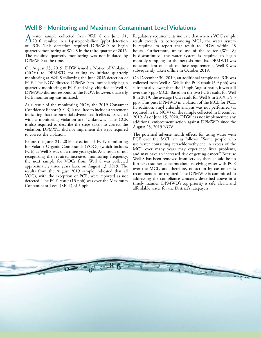## **Well 8 - Monitoring and Maximum Contaminant Level Violations**

A water sample collected from Well 8 on June 21,<br>
2016, resulted in a 1-part-per-billion (ppb) detection of PCE. This detection required DPMWD to begin quarterly monitoring at Well 8 in the third quarter of 2016. The required quarterly monitoring was not initiated by DPMWD at the time.

On August 23, 2019, DDW issued a Notice of Violation (NOV) to DPMWD for failing to initiate quarterly monitoring at Well 8 following the June 2016 detection of PCE. The NOV directed DPMWD to immediately begin quarterly monitoring of PCE and vinyl chloride at Well 8. DPMWD did not respond to the NOV; however, quarterly PCE monitoring was initiated.

As a result of the monitoring NOV, the 2019 Consumer Confidence Report (CCR) is required to include a statement indicating that the potential adverse health effects associated with a monitoring violation are "Unknown." The CCR is also required to describe the steps taken to correct the violation. DPMWD did not implement the steps required to correct the violation.

Before the June 21, 2016 detection of PCE, monitoring for Volatile Organic Compounds (VOCs) (which includes PCE) at Well 8 was on a three-year cycle. As a result of not recognizing the required increased monitoring frequency, the next sample for VOCs from Well 8 was collected approximately three years later, on August 13, 2019. The results from the August 2019 sample indicated that all VOCs, with the exception of PCE, were reported as not detected. The PCE result (13 ppb) was over the Maximum Contaminant Level (MCL) of 5 ppb.

Regulatory requirements indicate that when a VOC sample result exceeds its corresponding MCL, the water system is required to report that result to DDW within 48 hours. Furthermore, unless use of the source (Well 8) is discontinued, the water system is required to begin monthly sampling for the next six months. DPMWD was noncompliant on both of these requirements. Well 8 was subsequently taken offline in October 2019.

On December 30, 2019, an additional sample for PCE was collected from Well 8. While the PCE result (5.9 ppb) was substantially lower than the 13 ppb August result, it was still over the 5 ppb MCL. Based on the two PCE results for Well 8 in 2019, the average PCE result for Well 8 in 2019 is 9.5 ppb. This puts DPMWD in violation of the MCL for PCE. In addition, vinyl chloride analysis was not performed (as required in the NOV) on the sample collected in December 2019. As of June 15, 2020, DDW has not implemented any additional enforcement action against DPMWD since the August 23, 2019 NOV.

The potential adverse health effects for using water with PCE over the MCL are as follows: "Some people who use water containing tetrachloroethylene in excess of the MCL over many years may experience liver problems, and may have an increased risk of getting cancer." Because Well 8 has been removed from service, there should be no further customer concerns about receiving water with PCE over the MCL, and therefore, no action by customers is recommended or required. The DPMWD is committed to addressing the compliance concerns described above in a timely manner. DPMWD's top priority is safe, clean, and affordable water for the District's ratepayers.

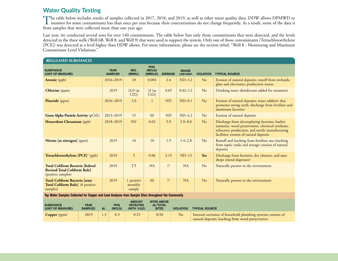# **Water Quality Testing**

The table below includes results of samples collected in 2017, 2018, and 2019, as well as other water quality data. DDW allows DPMWD to<br>monitor for some contaminants less than once per year because their concentrations do from samples that were collected more than one year ago.

Last year, we conducted several tests for over 140 contaminants. The table below lists only those contaminants that were detected, and the levels detected in the three wells (Well 6B, Well 8, and Well 9) that were used to support the system. Only one of those contaminants (Tetrachloroethylene [PCE]) was detected at a level higher than DDW allows. For more information, please see the section titled, "Well 8 - Monitoring and Maximum Contaminant Level Violations."

| <b>REGULATED SUBSTANCES</b>                                                                         |           |                      |                                                 |                                                       |                                 |                  |                                                                                                                    |                  |                                                                                                                                                                                                      |  |
|-----------------------------------------------------------------------------------------------------|-----------|----------------------|-------------------------------------------------|-------------------------------------------------------|---------------------------------|------------------|--------------------------------------------------------------------------------------------------------------------|------------------|------------------------------------------------------------------------------------------------------------------------------------------------------------------------------------------------------|--|
| <b>SUBSTANCE</b><br>(UNIT OF MEASURE)                                                               |           |                      | <b>YEAR</b><br><b>SAMPLED</b>                   | <b>MCL</b><br>[MRDL]                                  | <b>PHG</b><br>(MCLG)<br>[MRDLG] | <b>AVERAGE</b>   | <b>RANGE</b><br>LOW-HIGH                                                                                           | <b>VIOLATION</b> | <b>TYPICAL SOURCE</b>                                                                                                                                                                                |  |
| <b>Arsenic</b> (ppb)                                                                                |           |                      | 2016-2019                                       | 10                                                    | 0.004                           | 2.4              | $ND-3.2$                                                                                                           | N <sub>o</sub>   | Erosion of natural deposits; runoff from orchards;<br>glass and electronics production wastes                                                                                                        |  |
| Chlorine (ppm)                                                                                      |           |                      | 2019                                            | [4.0 (as<br>Cl2)]                                     | [4 (as<br>Cl2)]                 | 0.65             | $0.42 - 1.2$                                                                                                       | No               | Drinking water disinfectant added for treatment                                                                                                                                                      |  |
| <b>Fluoride</b> (ppm)                                                                               |           |                      | 2016-2019                                       | 2.0                                                   | $\mathbf{1}$                    | <b>ND</b>        | $ND-0.1$                                                                                                           | No               | Erosion of natural deposits; water additive that<br>promotes strong teeth; discharge from fertilizer and<br>aluminum factories                                                                       |  |
| <b>Gross Alpha Particle Activity (pCi/L)</b>                                                        |           |                      | 2015-2019                                       | 15                                                    | (0)                             | <b>ND</b>        | $ND-4.2$                                                                                                           | N <sub>o</sub>   | Erosion of natural deposits                                                                                                                                                                          |  |
| Hexavalent Chromium (ppb)                                                                           |           |                      | 2018-2019                                       | NS <sup>1</sup>                                       | 0.02                            | 5.9              | $3.9 - 8.8$                                                                                                        | No               | Discharge from electroplating factories, leather<br>tanneries, wood preservation, chemical synthesis,<br>refractory production, and textile manufacturing<br>facilities; erosion of natural deposits |  |
| Nitrate [as nitrogen] (ppm)                                                                         |           |                      | 2019                                            | 10                                                    | 10                              | 1.9              | $1.4 - 2.8$                                                                                                        | No               | Runoff and leaching from fertilizer use; leaching<br>from septic tanks and sewage; erosion of natural<br>deposits                                                                                    |  |
| Tetrachloroethylene [PCE] <sup>2</sup> (ppb)                                                        |           |                      | 2019                                            | 5                                                     | 0.06                            | 3.15             | $ND-13$                                                                                                            | Yes              | Discharge from factories, dry cleaners, and auto<br>shops (metal degreaser)                                                                                                                          |  |
| <b>Total Coliform Bacteria [federal</b><br><b>Revised Total Coliform Rule</b><br>(positive samples) |           |                      | 2019                                            | <b>TT</b>                                             | <b>NA</b>                       | 1 <sup>3</sup>   | <b>NA</b>                                                                                                          | No               | Naturally present in the environment                                                                                                                                                                 |  |
| <b>Total Coliform Bacteria [state</b><br>Total Coliform Rule] (# positive<br>samples)               |           |                      | 2019                                            | 1 positive<br>monthly<br>sample                       | (0)                             | 1 <sup>3</sup>   | NA                                                                                                                 | No               | Naturally present in the environment                                                                                                                                                                 |  |
| Tap Water Samples Collected for Copper and Lead Analyses from Sample Sites throughout the Community |           |                      |                                                 |                                                       |                                 |                  |                                                                                                                    |                  |                                                                                                                                                                                                      |  |
| <b>SUBSTANCE</b><br>(UNIT OF MEASURE)                                                               | <b>AL</b> | <b>PHG</b><br>(MCLG) | <b>AMOUNT</b><br><b>DETECTED</b><br>(90TH %ILE) | <b>SITES ABOVE</b><br><b>AL/TOTAL</b><br><b>SITES</b> |                                 | <b>VIOLATION</b> | <b>TYPICAL SOURCE</b>                                                                                              |                  |                                                                                                                                                                                                      |  |
| $Copper$ (ppm)                                                                                      | 2019      | 0.25<br>1.3<br>0.3   |                                                 |                                                       | 0/20                            | No               | Internal corrosion of household plumbing systems; erosion of<br>natural deposits; leaching from wood preservatives |                  |                                                                                                                                                                                                      |  |